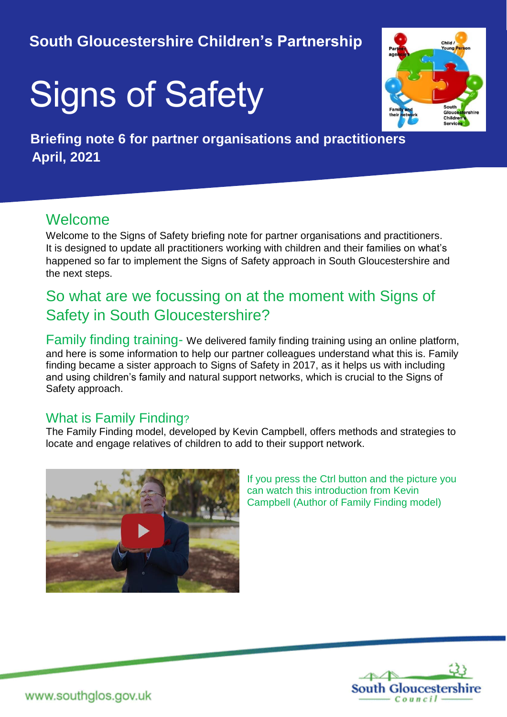# **South Gloucestershire Children's Partnership**

# Signs of Safety



 **Briefing note 6 for partner organisations and practitioners April, 2021**

## Welcome

Welcome to the Signs of Safety briefing note for partner organisations and practitioners. It is designed to update all practitioners working with children and their families on what's happened so far to implement the Signs of Safety approach in South Gloucestershire and the next steps.

# So what are we focussing on at the moment with Signs of Safety in South Gloucestershire?

Family finding training- We delivered family finding training using an online platform, and here is some information to help our partner colleagues understand what this is. Family finding became a sister approach to Signs of Safety in 2017, as it helps us with including and using children's family and natural support networks, which is crucial to the Signs of Safety approach.

#### What is Family Finding?

The Family Finding model, developed by Kevin Campbell, offers methods and strategies to locate and engage relatives of children to add to their support network.



If you press the Ctrl button and the picture you can watch this introduction from Kevin Campbell (Author of Family Finding model)

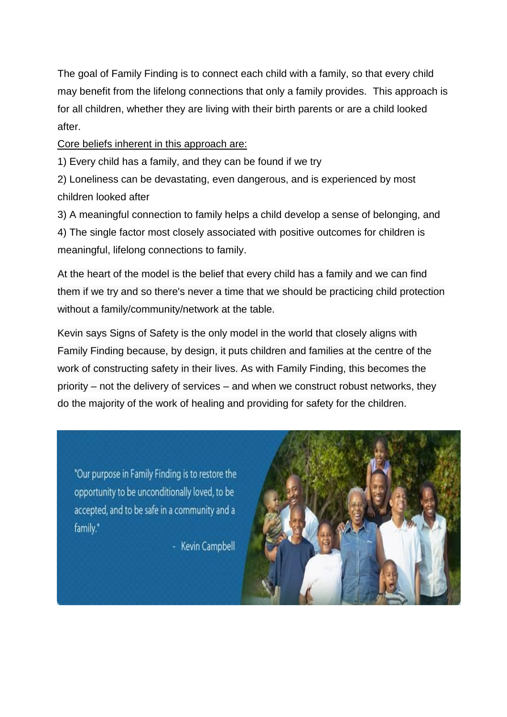The goal of Family Finding is to connect each child with a family, so that every child may benefit from the lifelong connections that only a family provides. This approach is for all children, whether they are living with their birth parents or are a child looked after.

Core beliefs inherent in this approach are:

1) Every child has a family, and they can be found if we try

2) Loneliness can be devastating, even dangerous, and is experienced by most children looked after

3) A meaningful connection to family helps a child develop a sense of belonging, and 4) The single factor most closely associated with positive outcomes for children is meaningful, lifelong connections to family.

At the heart of the model is the belief that every child has a family and we can find them if we try and so there's never a time that we should be practicing child protection without a family/community/network at the table.

Kevin says Signs of Safety is the only model in the world that closely aligns with Family Finding because, by design, it puts children and families at the centre of the work of constructing safety in their lives. As with Family Finding, this becomes the priority – not the delivery of services – and when we construct robust networks, they do the majority of the work of healing and providing for safety for the children.

"Our purpose in Family Finding is to restore the opportunity to be unconditionally loved, to be accepted, and to be safe in a community and a family."

- Kevin Campbell

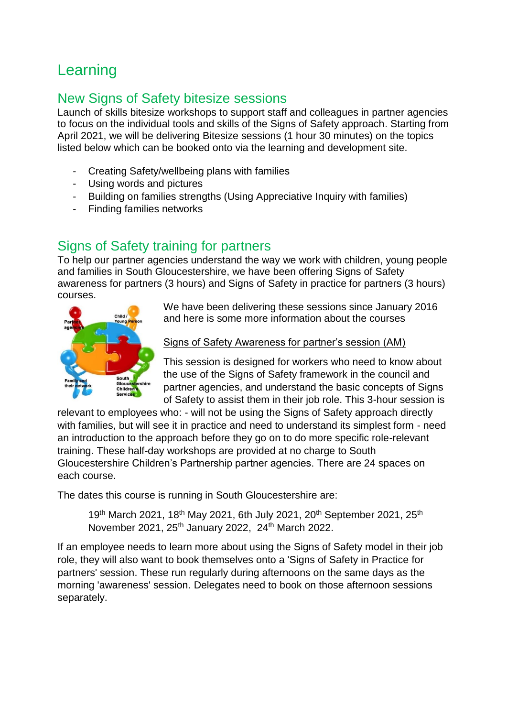# Learning

#### New Signs of Safety bitesize sessions

Launch of skills bitesize workshops to support staff and colleagues in partner agencies to focus on the individual tools and skills of the Signs of Safety approach. Starting from April 2021, we will be delivering Bitesize sessions (1 hour 30 minutes) on the topics listed below which can be booked onto via the learning and development site.

- Creating Safety/wellbeing plans with families
- Using words and pictures
- Building on families strengths (Using Appreciative Inquiry with families)
- Finding families networks

### Signs of Safety training for partners

To help our partner agencies understand the way we work with children, young people and families in South Gloucestershire, we have been offering Signs of Safety awareness for partners (3 hours) and Signs of Safety in practice for partners (3 hours) courses.



We have been delivering these sessions since January 2016 and here is some more information about the courses

Signs of Safety Awareness for partner's session (AM)

This session is designed for workers who need to know about the use of the Signs of Safety framework in the council and partner agencies, and understand the basic concepts of Signs of Safety to assist them in their job role. This 3-hour session is

relevant to employees who: - will not be using the Signs of Safety approach directly with families, but will see it in practice and need to understand its simplest form - need an introduction to the approach before they go on to do more specific role-relevant training. These half-day workshops are provided at no charge to South Gloucestershire Children's Partnership partner agencies. There are 24 spaces on each course.

The dates this course is running in South Gloucestershire are:

19<sup>th</sup> March 2021, 18<sup>th</sup> May 2021, 6th July 2021, 20<sup>th</sup> September 2021, 25<sup>th</sup> November 2021, 25<sup>th</sup> January 2022, 24<sup>th</sup> March 2022.

If an employee needs to learn more about using the Signs of Safety model in their job role, they will also want to book themselves onto a 'Signs of Safety in Practice for partners' session. These run regularly during afternoons on the same days as the morning 'awareness' session. Delegates need to book on those afternoon sessions separately.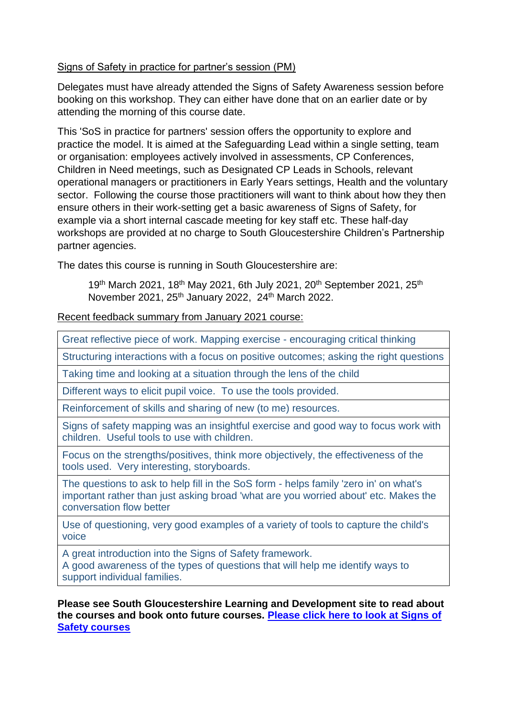#### Signs of Safety in practice for partner's session (PM)

Delegates must have already attended the Signs of Safety Awareness session before booking on this workshop. They can either have done that on an earlier date or by attending the morning of this course date.

This 'SoS in practice for partners' session offers the opportunity to explore and practice the model. It is aimed at the Safeguarding Lead within a single setting, team or organisation: employees actively involved in assessments, CP Conferences, Children in Need meetings, such as Designated CP Leads in Schools, relevant operational managers or practitioners in Early Years settings, Health and the voluntary sector. Following the course those practitioners will want to think about how they then ensure others in their work-setting get a basic awareness of Signs of Safety, for example via a short internal cascade meeting for key staff etc. These half-day workshops are provided at no charge to South Gloucestershire Children's Partnership partner agencies.

The dates this course is running in South Gloucestershire are:

19<sup>th</sup> March 2021, 18<sup>th</sup> May 2021, 6th July 2021, 20<sup>th</sup> September 2021, 25<sup>th</sup> November 2021, 25<sup>th</sup> January 2022, 24<sup>th</sup> March 2022.

Recent feedback summary from January 2021 course:

Great reflective piece of work. Mapping exercise - encouraging critical thinking

Structuring interactions with a focus on positive outcomes; asking the right questions

Taking time and looking at a situation through the lens of the child

Different ways to elicit pupil voice. To use the tools provided.

Reinforcement of skills and sharing of new (to me) resources.

Signs of safety mapping was an insightful exercise and good way to focus work with children. Useful tools to use with children.

Focus on the strengths/positives, think more objectively, the effectiveness of the tools used. Very interesting, storyboards.

The questions to ask to help fill in the SoS form - helps family 'zero in' on what's important rather than just asking broad 'what are you worried about' etc. Makes the conversation flow better

Use of questioning, very good examples of a variety of tools to capture the child's voice

A great introduction into the Signs of Safety framework.

A good awareness of the types of questions that will help me identify ways to support individual families.

**Please see South Gloucestershire Learning and Development site to read about the courses and book onto future courses. [Please click here to look at Signs of](https://learning.southglos.gov.uk/courses/bookings/default.asp?ds=1&keyword=signs+of+safety&curpage=1)  [Safety courses](https://learning.southglos.gov.uk/courses/bookings/default.asp?ds=1&keyword=signs+of+safety&curpage=1)**